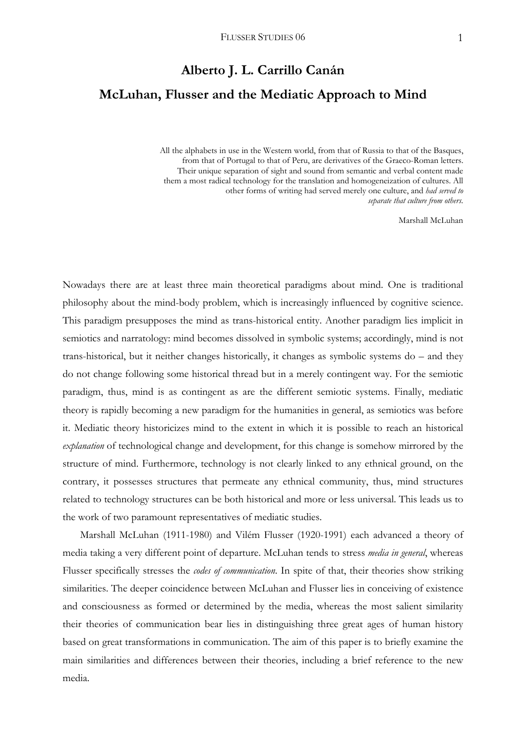# **Alberto J. L. Carrillo Canán McLuhan, Flusser and the Mediatic Approach to Mind**

 All the alphabets in use in the Western world, from that of Russia to that of the Basques, from that of Portugal to that of Peru, are derivatives of the Graeco-Roman letters. Their unique separation of sight and sound from semantic and verbal content made them a most radical technology for the translation and homogeneization of cultures. All other forms of writing had served merely one culture, and *had served to separate that culture from others*.

Marshall McLuhan

Nowadays there are at least three main theoretical paradigms about mind. One is traditional philosophy about the mind-body problem, which is increasingly influenced by cognitive science. This paradigm presupposes the mind as trans-historical entity. Another paradigm lies implicit in semiotics and narratology: mind becomes dissolved in symbolic systems; accordingly, mind is not trans-historical, but it neither changes historically, it changes as symbolic systems do – and they do not change following some historical thread but in a merely contingent way. For the semiotic paradigm, thus, mind is as contingent as are the different semiotic systems. Finally, mediatic theory is rapidly becoming a new paradigm for the humanities in general, as semiotics was before it. Mediatic theory historicizes mind to the extent in which it is possible to reach an historical *explanation* of technological change and development, for this change is somehow mirrored by the structure of mind. Furthermore, technology is not clearly linked to any ethnical ground, on the contrary, it possesses structures that permeate any ethnical community, thus, mind structures related to technology structures can be both historical and more or less universal. This leads us to the work of two paramount representatives of mediatic studies.

 Marshall McLuhan (1911-1980) and Vilém Flusser (1920-1991) each advanced a theory of media taking a very different point of departure. McLuhan tends to stress *media in general*, whereas Flusser specifically stresses the *codes of communication*. In spite of that, their theories show striking similarities. The deeper coincidence between McLuhan and Flusser lies in conceiving of existence and consciousness as formed or determined by the media, whereas the most salient similarity their theories of communication bear lies in distinguishing three great ages of human history based on great transformations in communication. The aim of this paper is to briefly examine the main similarities and differences between their theories, including a brief reference to the new media.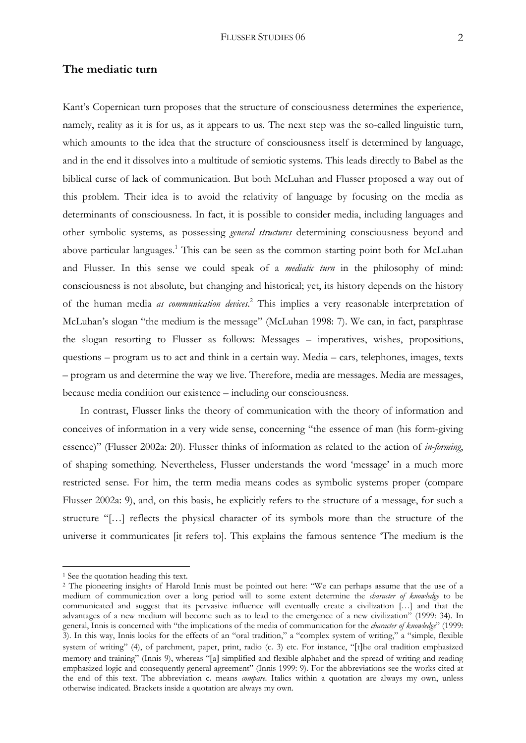# **The mediatic turn**

Kant's Copernican turn proposes that the structure of consciousness determines the experience, namely, reality as it is for us, as it appears to us. The next step was the so-called linguistic turn, which amounts to the idea that the structure of consciousness itself is determined by language, and in the end it dissolves into a multitude of semiotic systems. This leads directly to Babel as the biblical curse of lack of communication. But both McLuhan and Flusser proposed a way out of this problem. Their idea is to avoid the relativity of language by focusing on the media as determinants of consciousness. In fact, it is possible to consider media, including languages and other symbolic systems, as possessing *general structures* determining consciousness beyond and above particular languages.<sup>1</sup> This can be seen as the common starting point both for McLuhan and Flusser. In this sense we could speak of a *mediatic turn* in the philosophy of mind: consciousness is not absolute, but changing and historical; yet, its history depends on the history of the human media *as communication devices*. 2 This implies a very reasonable interpretation of McLuhan's slogan "the medium is the message" (McLuhan 1998: 7). We can, in fact, paraphrase the slogan resorting to Flusser as follows: Messages – imperatives, wishes, propositions, questions – program us to act and think in a certain way. Media – cars, telephones, images, texts – program us and determine the way we live. Therefore, media are messages. Media are messages, because media condition our existence – including our consciousness.

 In contrast, Flusser links the theory of communication with the theory of information and conceives of information in a very wide sense, concerning "the essence of man (his form-giving essence)" (Flusser 2002a: 20). Flusser thinks of information as related to the action of *in-forming*, of shaping something. Nevertheless, Flusser understands the word 'message' in a much more restricted sense. For him, the term media means codes as symbolic systems proper (compare Flusser 2002a: 9), and, on this basis, he explicitly refers to the structure of a message, for such a structure "[…] reflects the physical character of its symbols more than the structure of the universe it communicates [it refers to]. This explains the famous sentence 'The medium is the

<sup>&</sup>lt;sup>1</sup> See the quotation heading this text.

<sup>2</sup> The pioneering insights of Harold Innis must be pointed out here: "We can perhaps assume that the use of a medium of communication over a long period will to some extent determine the *character of knowledge* to be communicated and suggest that its pervasive influence will eventually create a civilization […] and that the advantages of a new medium will become such as to lead to the emergence of a new civilization" (1999: 34). In general, Innis is concerned with "the implications of the media of communication for the *character of knowledge*" (1999: 3). In this way, Innis looks for the effects of an "oral tradition," a "complex system of writing," a "simple, flexible system of writing" (4), of parchment, paper, print, radio (c. 3) etc. For instance, "[t]he oral tradition emphasized memory and training" (Innis 9), whereas "[a] simplified and flexible alphabet and the spread of writing and reading emphasized logic and consequently general agreement" (Innis 1999: 9). For the abbreviations see the works cited at the end of this text. The abbreviation c. means *compare*. Italics within a quotation are always my own, unless otherwise indicated. Brackets inside a quotation are always my own.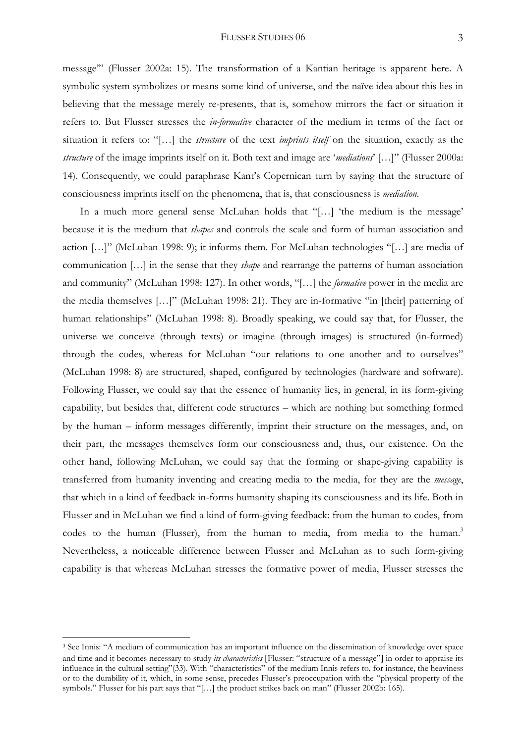#### FLUSSER STUDIES 06 3

message'" (Flusser 2002a: 15). The transformation of a Kantian heritage is apparent here. A symbolic system symbolizes or means some kind of universe, and the naïve idea about this lies in believing that the message merely re-presents, that is, somehow mirrors the fact or situation it refers to. But Flusser stresses the *in-formative* character of the medium in terms of the fact or situation it refers to: "[…] the *structure* of the text *imprints itself* on the situation, exactly as the *structure* of the image imprints itself on it. Both text and image are '*mediations*' […]" (Flusser 2000a: 14). Consequently, we could paraphrase Kant's Copernican turn by saying that the structure of consciousness imprints itself on the phenomena, that is, that consciousness is *mediation*.

 In a much more general sense McLuhan holds that "[…] 'the medium is the message' because it is the medium that *shapes* and controls the scale and form of human association and action […]" (McLuhan 1998: 9); it informs them. For McLuhan technologies "[…] are media of communication […] in the sense that they *shape* and rearrange the patterns of human association and community" (McLuhan 1998: 127). In other words, "[…] the *formative* power in the media are the media themselves […]" (McLuhan 1998: 21). They are in-formative "in [their] patterning of human relationships" (McLuhan 1998: 8). Broadly speaking, we could say that, for Flusser, the universe we conceive (through texts) or imagine (through images) is structured (in-formed) through the codes, whereas for McLuhan "our relations to one another and to ourselves" (McLuhan 1998: 8) are structured, shaped, configured by technologies (hardware and software). Following Flusser, we could say that the essence of humanity lies, in general, in its form-giving capability, but besides that, different code structures – which are nothing but something formed by the human – inform messages differently, imprint their structure on the messages, and, on their part, the messages themselves form our consciousness and, thus, our existence. On the other hand, following McLuhan, we could say that the forming or shape-giving capability is transferred from humanity inventing and creating media to the media, for they are the *message*, that which in a kind of feedback in-forms humanity shaping its consciousness and its life. Both in Flusser and in McLuhan we find a kind of form-giving feedback: from the human to codes, from codes to the human (Flusser), from the human to media, from media to the human.<sup>3</sup> Nevertheless, a noticeable difference between Flusser and McLuhan as to such form-giving capability is that whereas McLuhan stresses the formative power of media, Flusser stresses the

<sup>3</sup> See Innis: "A medium of communication has an important influence on the dissemination of knowledge over space and time and it becomes necessary to study *its characteristics* [Flusser: "structure of a message"] in order to appraise its influence in the cultural setting"(33). With "characteristics" of the medium Innis refers to, for instance, the heaviness or to the durability of it, which, in some sense, precedes Flusser's preoccupation with the "physical property of the symbols." Flusser for his part says that "[…] the product strikes back on man" (Flusser 2002b: 165).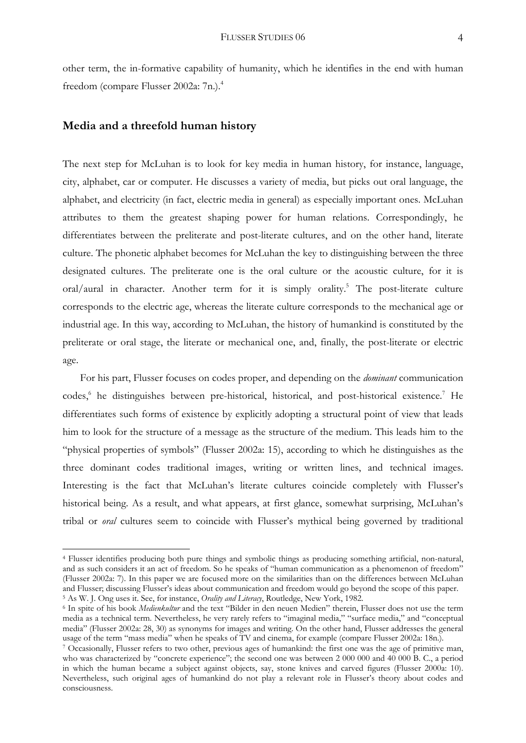other term, the in-formative capability of humanity, which he identifies in the end with human freedom (compare Flusser 2002a: 7n.).4

## **Media and a threefold human history**

1

The next step for McLuhan is to look for key media in human history, for instance, language, city, alphabet, car or computer. He discusses a variety of media, but picks out oral language, the alphabet, and electricity (in fact, electric media in general) as especially important ones. McLuhan attributes to them the greatest shaping power for human relations. Correspondingly, he differentiates between the preliterate and post-literate cultures, and on the other hand, literate culture. The phonetic alphabet becomes for McLuhan the key to distinguishing between the three designated cultures. The preliterate one is the oral culture or the acoustic culture, for it is oral/aural in character. Another term for it is simply orality.<sup>5</sup> The post-literate culture corresponds to the electric age, whereas the literate culture corresponds to the mechanical age or industrial age. In this way, according to McLuhan, the history of humankind is constituted by the preliterate or oral stage, the literate or mechanical one, and, finally, the post-literate or electric age.

 For his part, Flusser focuses on codes proper, and depending on the *dominant* communication codes,<sup>6</sup> he distinguishes between pre-historical, historical, and post-historical existence.<sup>7</sup> He differentiates such forms of existence by explicitly adopting a structural point of view that leads him to look for the structure of a message as the structure of the medium. This leads him to the "physical properties of symbols" (Flusser 2002a: 15), according to which he distinguishes as the three dominant codes traditional images, writing or written lines, and technical images. Interesting is the fact that McLuhan's literate cultures coincide completely with Flusser's historical being. As a result, and what appears, at first glance, somewhat surprising, McLuhan's tribal or *oral* cultures seem to coincide with Flusser's mythical being governed by traditional

<sup>4</sup> Flusser identifies producing both pure things and symbolic things as producing something artificial, non-natural, and as such considers it an act of freedom. So he speaks of "human communication as a phenomenon of freedom" (Flusser 2002a: 7). In this paper we are focused more on the similarities than on the differences between McLuhan and Flusser; discussing Flusser's ideas about communication and freedom would go beyond the scope of this paper.<br>
<sup>5</sup> As W. J. Ong uses it. See, for instance, *Orality and Literacy*, Routledge, New York, 1982.<br>
<sup>6</sup> In spit

media as a technical term. Nevertheless, he very rarely refers to "imaginal media," "surface media," and "conceptual media" (Flusser 2002a: 28, 30) as synonyms for images and writing. On the other hand, Flusser addresses the general usage of the term "mass media" when he speaks of TV and cinema, for example (compare Flusser 2002a: 18n.). 7 Occasionally, Flusser refers to two other, previous ages of humankind: the first one was the age of primitive man,

who was characterized by "concrete experience"; the second one was between 2 000 000 and 40 000 B. C., a period in which the human became a subject against objects, say, stone knives and carved figures (Flusser 2000a: 10). Nevertheless, such original ages of humankind do not play a relevant role in Flusser's theory about codes and consciousness.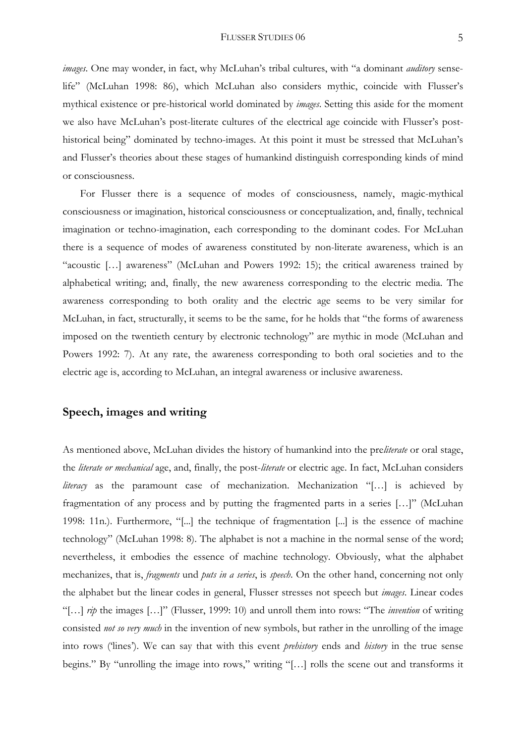*images*. One may wonder, in fact, why McLuhan's tribal cultures, with "a dominant *auditory* senselife" (McLuhan 1998: 86), which McLuhan also considers mythic, coincide with Flusser's mythical existence or pre-historical world dominated by *images*. Setting this aside for the moment we also have McLuhan's post-literate cultures of the electrical age coincide with Flusser's posthistorical being" dominated by techno-images. At this point it must be stressed that McLuhan's and Flusser's theories about these stages of humankind distinguish corresponding kinds of mind or consciousness.

 For Flusser there is a sequence of modes of consciousness, namely, magic-mythical consciousness or imagination, historical consciousness or conceptualization, and, finally, technical imagination or techno-imagination, each corresponding to the dominant codes. For McLuhan there is a sequence of modes of awareness constituted by non-literate awareness, which is an "acoustic […] awareness" (McLuhan and Powers 1992: 15); the critical awareness trained by alphabetical writing; and, finally, the new awareness corresponding to the electric media. The awareness corresponding to both orality and the electric age seems to be very similar for McLuhan, in fact, structurally, it seems to be the same, for he holds that "the forms of awareness imposed on the twentieth century by electronic technology" are mythic in mode (McLuhan and Powers 1992: 7). At any rate, the awareness corresponding to both oral societies and to the electric age is, according to McLuhan, an integral awareness or inclusive awareness.

# **Speech, images and writing**

As mentioned above, McLuhan divides the history of humankind into the pre*literate* or oral stage, the *literate or mechanical* age, and, finally, the post-*literate* or electric age. In fact, McLuhan considers *literacy* as the paramount case of mechanization. Mechanization "[…] is achieved by fragmentation of any process and by putting the fragmented parts in a series […]" (McLuhan 1998: 11n.). Furthermore, "[...] the technique of fragmentation [...] is the essence of machine technology" (McLuhan 1998: 8). The alphabet is not a machine in the normal sense of the word; nevertheless, it embodies the essence of machine technology. Obviously, what the alphabet mechanizes, that is, *fragments* und *puts in a series*, is *speech*. On the other hand, concerning not only the alphabet but the linear codes in general, Flusser stresses not speech but *images*. Linear codes "[…] *rip* the images […]" (Flusser, 1999: 10) and unroll them into rows: "The *invention* of writing consisted *not so very much* in the invention of new symbols, but rather in the unrolling of the image into rows ('lines'). We can say that with this event *prehistory* ends and *history* in the true sense begins." By "unrolling the image into rows," writing "[…] rolls the scene out and transforms it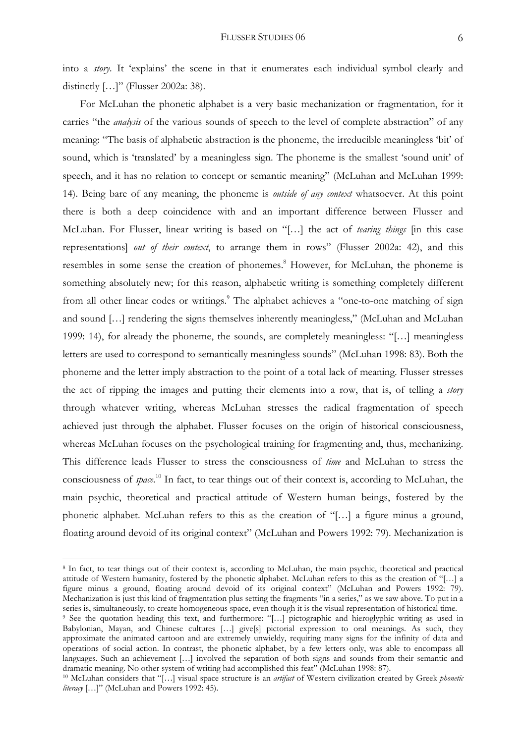into a *story*. It 'explains' the scene in that it enumerates each individual symbol clearly and distinctly [...]" (Flusser 2002a: 38).

 For McLuhan the phonetic alphabet is a very basic mechanization or fragmentation, for it carries "the *analysis* of the various sounds of speech to the level of complete abstraction" of any meaning: "The basis of alphabetic abstraction is the phoneme, the irreducible meaningless 'bit' of sound, which is 'translated' by a meaningless sign. The phoneme is the smallest 'sound unit' of speech, and it has no relation to concept or semantic meaning" (McLuhan and McLuhan 1999: 14). Being bare of any meaning, the phoneme is *outside of any context* whatsoever. At this point there is both a deep coincidence with and an important difference between Flusser and McLuhan. For Flusser, linear writing is based on "[…] the act of *tearing things* [in this case representations] *out of their context*, to arrange them in rows" (Flusser 2002a: 42), and this resembles in some sense the creation of phonemes.<sup>8</sup> However, for McLuhan, the phoneme is something absolutely new; for this reason, alphabetic writing is something completely different from all other linear codes or writings.<sup>9</sup> The alphabet achieves a "one-to-one matching of sign and sound […] rendering the signs themselves inherently meaningless," (McLuhan and McLuhan 1999: 14), for already the phoneme, the sounds, are completely meaningless: "[…] meaningless letters are used to correspond to semantically meaningless sounds" (McLuhan 1998: 83). Both the phoneme and the letter imply abstraction to the point of a total lack of meaning. Flusser stresses the act of ripping the images and putting their elements into a row, that is, of telling a *story* through whatever writing, whereas McLuhan stresses the radical fragmentation of speech achieved just through the alphabet. Flusser focuses on the origin of historical consciousness, whereas McLuhan focuses on the psychological training for fragmenting and, thus, mechanizing. This difference leads Flusser to stress the consciousness of *time* and McLuhan to stress the consciousness of *space*. 10 In fact, to tear things out of their context is, according to McLuhan, the main psychic, theoretical and practical attitude of Western human beings, fostered by the phonetic alphabet. McLuhan refers to this as the creation of "[…] a figure minus a ground, floating around devoid of its original context" (McLuhan and Powers 1992: 79). Mechanization is

<sup>8</sup> In fact, to tear things out of their context is, according to McLuhan, the main psychic, theoretical and practical attitude of Western humanity, fostered by the phonetic alphabet. McLuhan refers to this as the creation of "[…] a figure minus a ground, floating around devoid of its original context" (McLuhan and Powers 1992: 79). Mechanization is just this kind of fragmentation plus setting the fragments "in a series," as we saw above. To put in a series is, simultaneously, to create homogeneous space, even though it is the visual representation of historical time.<br><sup>9</sup> See the quotation heading this text, and furthermore: "[...] pictographic and hieroglyphic writing

Babylonian, Mayan, and Chinese cultures […] give[s] pictorial expression to oral meanings. As such, they approximate the animated cartoon and are extremely unwieldy, requiring many signs for the infinity of data and operations of social action. In contrast, the phonetic alphabet, by a few letters only, was able to encompass all languages. Such an achievement [...] involved the separation of both signs and sounds from their semantic and dramatic meaning. No other system of writing had accomplished this feat" (McLuhan 1998: 87).

<sup>&</sup>lt;sup>10</sup> McLuhan considers that "[...] visual space structure is an artifact of Western civilization created by Greek phonetic *literacy* […]" (McLuhan and Powers 1992: 45).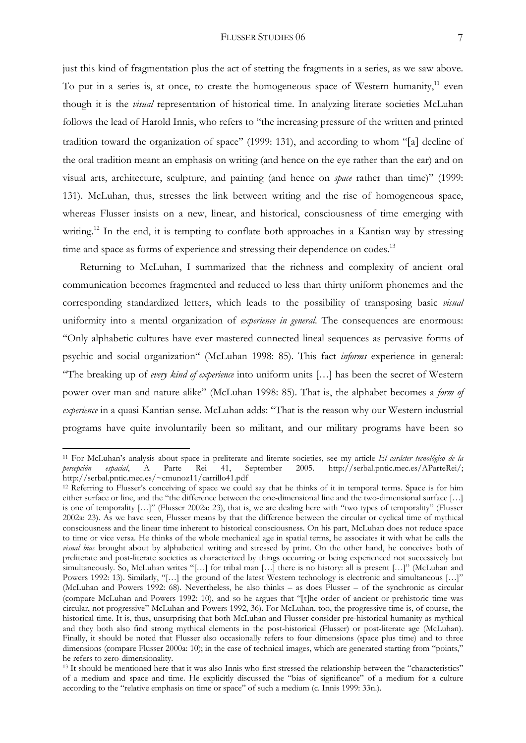### FLUSSER STUDIES 06 7

just this kind of fragmentation plus the act of stetting the fragments in a series, as we saw above. To put in a series is, at once, to create the homogeneous space of Western humanity,<sup>11</sup> even though it is the *visual* representation of historical time. In analyzing literate societies McLuhan follows the lead of Harold Innis, who refers to "the increasing pressure of the written and printed tradition toward the organization of space" (1999: 131), and according to whom "[a] decline of the oral tradition meant an emphasis on writing (and hence on the eye rather than the ear) and on visual arts, architecture, sculpture, and painting (and hence on *space* rather than time)" (1999: 131). McLuhan, thus, stresses the link between writing and the rise of homogeneous space, whereas Flusser insists on a new, linear, and historical, consciousness of time emerging with writing.<sup>12</sup> In the end, it is tempting to conflate both approaches in a Kantian way by stressing time and space as forms of experience and stressing their dependence on codes.<sup>13</sup>

 Returning to McLuhan, I summarized that the richness and complexity of ancient oral communication becomes fragmented and reduced to less than thirty uniform phonemes and the corresponding standardized letters, which leads to the possibility of transposing basic *visual* uniformity into a mental organization of *experience in general*. The consequences are enormous: "Only alphabetic cultures have ever mastered connected lineal sequences as pervasive forms of psychic and social organization" (McLuhan 1998: 85). This fact *informs* experience in general: "The breaking up of *every kind of experience* into uniform units […] has been the secret of Western power over man and nature alike" (McLuhan 1998: 85). That is, the alphabet becomes a *form of experience* in a quasi Kantian sense. McLuhan adds: "That is the reason why our Western industrial programs have quite involuntarily been so militant, and our military programs have been so

<sup>11</sup> For McLuhan's analysis about space in preliterate and literate societies, see my article *El carácter tecnológico de la percepción espacial*, A Parte Rei 41, September 2005. http://serbal.pntic.mec.es/AParteRei/; http://serbal.pntic.mec.es/~cmunoz11/carrillo41.pdf<br><sup>12</sup> Referring to Flusser's conceiving of space we could say that he thinks of it in temporal terms. Space is for him

either surface or line, and the "the difference between the one-dimensional line and the two-dimensional surface […] is one of temporality […]" (Flusser 2002a: 23), that is, we are dealing here with "two types of temporality" (Flusser 2002a: 23). As we have seen, Flusser means by that the difference between the circular or cyclical time of mythical consciousness and the linear time inherent to historical consciousness. On his part, McLuhan does not reduce space to time or vice versa. He thinks of the whole mechanical age in spatial terms, he associates it with what he calls the *visual bias* brought about by alphabetical writing and stressed by print. On the other hand, he conceives both of preliterate and post-literate societies as characterized by things occurring or being experienced not successively but simultaneously. So, McLuhan writes "[…] for tribal man […] there is no history: all is present […]" (McLuhan and Powers 1992: 13). Similarly, "[…] the ground of the latest Western technology is electronic and simultaneous […]" (McLuhan and Powers 1992: 68). Nevertheless, he also thinks – as does Flusser – of the synchronic as circular (compare McLuhan and Powers 1992: 10), and so he argues that "[t]he order of ancient or prehistoric time was circular, not progressive" McLuhan and Powers 1992, 36). For McLuhan, too, the progressive time is, of course, the historical time. It is, thus, unsurprising that both McLuhan and Flusser consider pre-historical humanity as mythical and they both also find strong mythical elements in the post-historical (Flusser) or post-literate age (McLuhan). Finally, it should be noted that Flusser also occasionally refers to four dimensions (space plus time) and to three dimensions (compare Flusser 2000a: 10); in the case of technical images, which are generated starting from "points," he refers to zero-dimensionality.

<sup>&</sup>lt;sup>13</sup> It should be mentioned here that it was also Innis who first stressed the relationship between the "characteristics" of a medium and space and time. He explicitly discussed the "bias of significance" of a medium for a culture according to the "relative emphasis on time or space" of such a medium (c. Innis 1999: 33n.).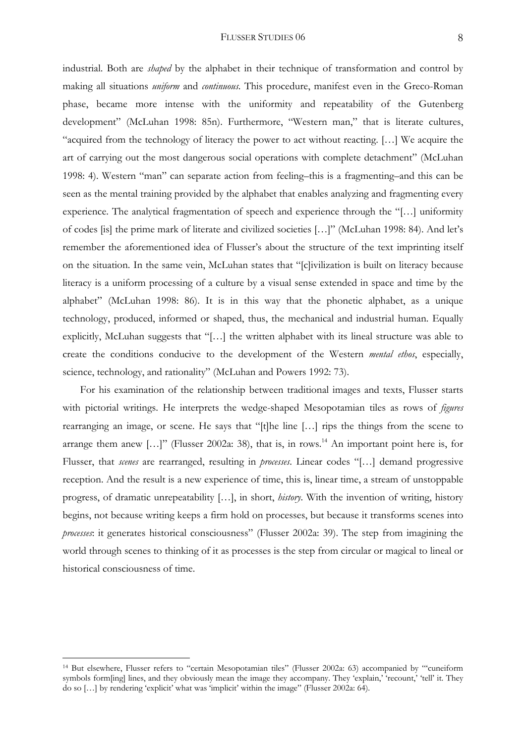#### FLUSSER STUDIES 06 8

industrial. Both are *shaped* by the alphabet in their technique of transformation and control by making all situations *uniform* and *continuous*. This procedure, manifest even in the Greco-Roman phase, became more intense with the uniformity and repeatability of the Gutenberg development" (McLuhan 1998: 85n). Furthermore, "Western man," that is literate cultures, "acquired from the technology of literacy the power to act without reacting. […] We acquire the art of carrying out the most dangerous social operations with complete detachment" (McLuhan 1998: 4). Western "man" can separate action from feeling–this is a fragmenting–and this can be seen as the mental training provided by the alphabet that enables analyzing and fragmenting every experience. The analytical fragmentation of speech and experience through the "[…] uniformity of codes [is] the prime mark of literate and civilized societies […]" (McLuhan 1998: 84). And let's remember the aforementioned idea of Flusser's about the structure of the text imprinting itself on the situation. In the same vein, McLuhan states that "[c]ivilization is built on literacy because literacy is a uniform processing of a culture by a visual sense extended in space and time by the alphabet" (McLuhan 1998: 86). It is in this way that the phonetic alphabet, as a unique technology, produced, informed or shaped, thus, the mechanical and industrial human. Equally explicitly, McLuhan suggests that "[…] the written alphabet with its lineal structure was able to create the conditions conducive to the development of the Western *mental ethos*, especially, science, technology, and rationality" (McLuhan and Powers 1992: 73).

 For his examination of the relationship between traditional images and texts, Flusser starts with pictorial writings. He interprets the wedge-shaped Mesopotamian tiles as rows of *figures* rearranging an image, or scene. He says that "[t]he line […] rips the things from the scene to arrange them anew  $[...]'$  (Flusser 2002a: 38), that is, in rows.<sup>14</sup> An important point here is, for Flusser, that *scenes* are rearranged, resulting in *processes*. Linear codes "[…] demand progressive reception. And the result is a new experience of time, this is, linear time, a stream of unstoppable progress, of dramatic unrepeatability […], in short, *history*. With the invention of writing, history begins, not because writing keeps a firm hold on processes, but because it transforms scenes into *processes*: it generates historical consciousness" (Flusser 2002a: 39). The step from imagining the world through scenes to thinking of it as processes is the step from circular or magical to lineal or historical consciousness of time.

<sup>14</sup> But elsewhere, Flusser refers to "certain Mesopotamian tiles" (Flusser 2002a: 63) accompanied by "'cuneiform symbols form[ing] lines, and they obviously mean the image they accompany. They 'explain,' 'recount,' 'tell' it. They do so […] by rendering 'explicit' what was 'implicit' within the image" (Flusser 2002a: 64).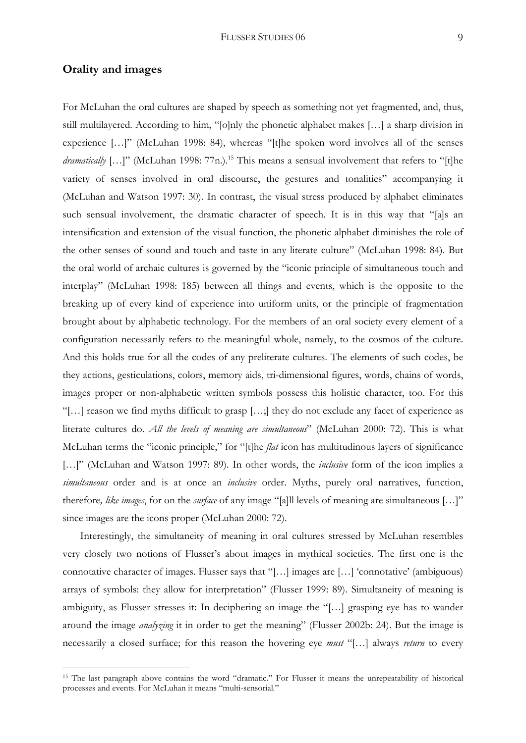## **Orality and images**

1

For McLuhan the oral cultures are shaped by speech as something not yet fragmented, and, thus, still multilayered. According to him, "[o]nly the phonetic alphabet makes […] a sharp division in experience […]" (McLuhan 1998: 84), whereas "[t]he spoken word involves all of the senses *dramatically* [...]" (McLuhan 1998: 77n.).<sup>15</sup> This means a sensual involvement that refers to "[t]he variety of senses involved in oral discourse, the gestures and tonalities" accompanying it (McLuhan and Watson 1997: 30). In contrast, the visual stress produced by alphabet eliminates such sensual involvement, the dramatic character of speech. It is in this way that "[a]s an intensification and extension of the visual function, the phonetic alphabet diminishes the role of the other senses of sound and touch and taste in any literate culture" (McLuhan 1998: 84). But the oral world of archaic cultures is governed by the "iconic principle of simultaneous touch and interplay" (McLuhan 1998: 185) between all things and events, which is the opposite to the breaking up of every kind of experience into uniform units, or the principle of fragmentation brought about by alphabetic technology. For the members of an oral society every element of a configuration necessarily refers to the meaningful whole, namely, to the cosmos of the culture. And this holds true for all the codes of any preliterate cultures. The elements of such codes, be they actions, gesticulations, colors, memory aids, tri-dimensional figures, words, chains of words, images proper or non-alphabetic written symbols possess this holistic character, too. For this "[…] reason we find myths difficult to grasp […;] they do not exclude any facet of experience as literate cultures do. *All the levels of meaning are simultaneous*" (McLuhan 2000: 72). This is what McLuhan terms the "iconic principle," for "[t]he *flat* icon has multitudinous layers of significance [...]" (McLuhan and Watson 1997: 89). In other words, the *inclusive* form of the icon implies a *simultaneous* order and is at once an *inclusive* order. Myths, purely oral narratives, function, therefore*, like images*, for on the *surface* of any image "[a]ll levels of meaning are simultaneous […]" since images are the icons proper (McLuhan 2000: 72).

 Interestingly, the simultaneity of meaning in oral cultures stressed by McLuhan resembles very closely two notions of Flusser's about images in mythical societies. The first one is the connotative character of images. Flusser says that "[…] images are […] 'connotative' (ambiguous) arrays of symbols: they allow for interpretation" (Flusser 1999: 89). Simultaneity of meaning is ambiguity, as Flusser stresses it: In deciphering an image the "[…] grasping eye has to wander around the image *analyzing* it in order to get the meaning" (Flusser 2002b: 24). But the image is necessarily a closed surface; for this reason the hovering eye *must* "[…] always *return* to every

<sup>&</sup>lt;sup>15</sup> The last paragraph above contains the word "dramatic." For Flusser it means the unrepeatability of historical processes and events. For McLuhan it means "multi-sensorial."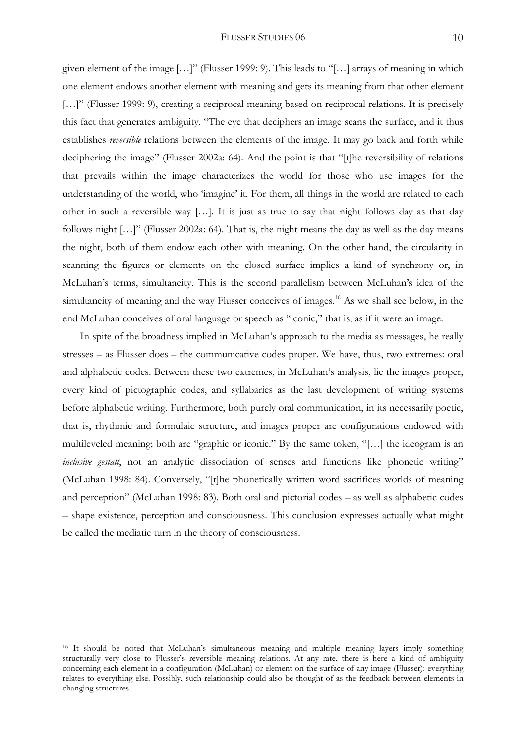given element of the image […]" (Flusser 1999: 9). This leads to "[…] arrays of meaning in which one element endows another element with meaning and gets its meaning from that other element [...]" (Flusser 1999: 9), creating a reciprocal meaning based on reciprocal relations. It is precisely this fact that generates ambiguity. "The eye that deciphers an image scans the surface, and it thus establishes *reversible* relations between the elements of the image. It may go back and forth while deciphering the image" (Flusser 2002a: 64). And the point is that "[t]he reversibility of relations that prevails within the image characterizes the world for those who use images for the understanding of the world, who 'imagine' it. For them, all things in the world are related to each other in such a reversible way […]. It is just as true to say that night follows day as that day follows night […]" (Flusser 2002a: 64). That is, the night means the day as well as the day means the night, both of them endow each other with meaning. On the other hand, the circularity in scanning the figures or elements on the closed surface implies a kind of synchrony or, in McLuhan's terms, simultaneity. This is the second parallelism between McLuhan's idea of the simultaneity of meaning and the way Flusser conceives of images.<sup>16</sup> As we shall see below, in the end McLuhan conceives of oral language or speech as "iconic," that is, as if it were an image.

 In spite of the broadness implied in McLuhan's approach to the media as messages, he really stresses – as Flusser does – the communicative codes proper. We have, thus, two extremes: oral and alphabetic codes. Between these two extremes, in McLuhan's analysis, lie the images proper, every kind of pictographic codes, and syllabaries as the last development of writing systems before alphabetic writing. Furthermore, both purely oral communication, in its necessarily poetic, that is, rhythmic and formulaic structure, and images proper are configurations endowed with multileveled meaning; both are "graphic or iconic." By the same token, "[…] the ideogram is an *inclusive gestalt*, not an analytic dissociation of senses and functions like phonetic writing" (McLuhan 1998: 84). Conversely, "[t]he phonetically written word sacrifices worlds of meaning and perception" (McLuhan 1998: 83). Both oral and pictorial codes – as well as alphabetic codes – shape existence, perception and consciousness. This conclusion expresses actually what might be called the mediatic turn in the theory of consciousness.

<sup>&</sup>lt;sup>16</sup> It should be noted that McLuhan's simultaneous meaning and multiple meaning layers imply something structurally very close to Flusser's reversible meaning relations. At any rate, there is here a kind of ambiguity concerning each element in a configuration (McLuhan) or element on the surface of any image (Flusser): everything relates to everything else. Possibly, such relationship could also be thought of as the feedback between elements in changing structures.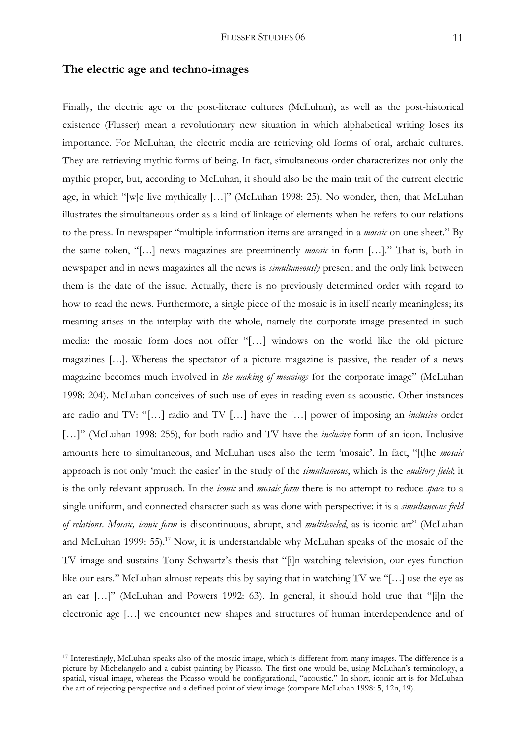## **The electric age and techno-images**

Finally, the electric age or the post-literate cultures (McLuhan), as well as the post-historical existence (Flusser) mean a revolutionary new situation in which alphabetical writing loses its importance. For McLuhan, the electric media are retrieving old forms of oral, archaic cultures. They are retrieving mythic forms of being. In fact, simultaneous order characterizes not only the mythic proper, but, according to McLuhan, it should also be the main trait of the current electric age, in which "[w]e live mythically […]" (McLuhan 1998: 25). No wonder, then, that McLuhan illustrates the simultaneous order as a kind of linkage of elements when he refers to our relations to the press. In newspaper "multiple information items are arranged in a *mosaic* on one sheet." By the same token, "[…] news magazines are preeminently *mosaic* in form […]." That is, both in newspaper and in news magazines all the news is *simultaneously* present and the only link between them is the date of the issue. Actually, there is no previously determined order with regard to how to read the news. Furthermore, a single piece of the mosaic is in itself nearly meaningless; its meaning arises in the interplay with the whole, namely the corporate image presented in such media: the mosaic form does not offer "[…] windows on the world like the old picture magazines […]. Whereas the spectator of a picture magazine is passive, the reader of a news magazine becomes much involved in *the making of meanings* for the corporate image" (McLuhan 1998: 204). McLuhan conceives of such use of eyes in reading even as acoustic. Other instances are radio and TV: "[…] radio and TV […] have the […] power of imposing an *inclusive* order […]" (McLuhan 1998: 255), for both radio and TV have the *inclusive* form of an icon. Inclusive amounts here to simultaneous, and McLuhan uses also the term 'mosaic'. In fact, "[t]he *mosaic* approach is not only 'much the easier' in the study of the *simultaneous*, which is the *auditory field*; it is the only relevant approach. In the *iconic* and *mosaic form* there is no attempt to reduce *space* to a single uniform, and connected character such as was done with perspective: it is a *simultaneous field of relations*. *Mosaic, iconic form* is discontinuous, abrupt, and *multileveled*, as is iconic art" (McLuhan and McLuhan 1999:  $55$ ).<sup>17</sup> Now, it is understandable why McLuhan speaks of the mosaic of the TV image and sustains Tony Schwartz's thesis that "[i]n watching television, our eyes function like our ears." McLuhan almost repeats this by saying that in watching TV we "[...] use the eye as an ear […]" (McLuhan and Powers 1992: 63). In general, it should hold true that "[i]n the electronic age […] we encounter new shapes and structures of human interdependence and of

<sup>17</sup> Interestingly, McLuhan speaks also of the mosaic image, which is different from many images. The difference is a picture by Michelangelo and a cubist painting by Picasso. The first one would be, using McLuhan's terminology, a spatial, visual image, whereas the Picasso would be configurational, "acoustic." In short, iconic art is for McLuhan the art of rejecting perspective and a defined point of view image (compare McLuhan 1998: 5, 12n, 19).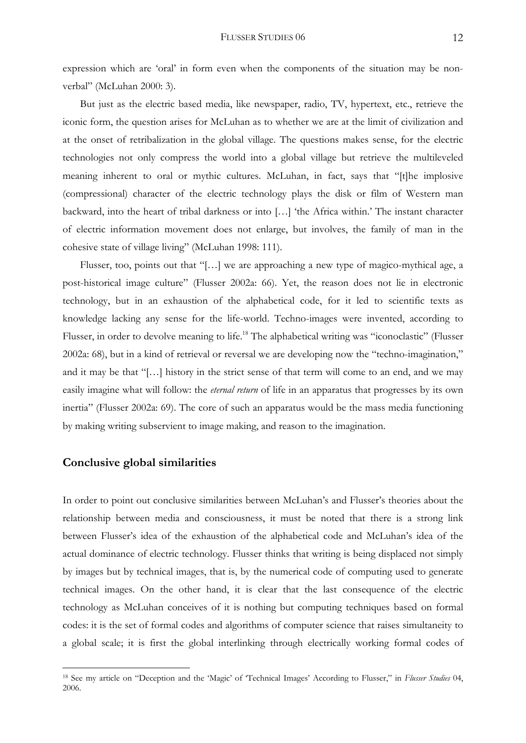expression which are 'oral' in form even when the components of the situation may be nonverbal" (McLuhan 2000: 3).

 But just as the electric based media, like newspaper, radio, TV, hypertext, etc., retrieve the iconic form, the question arises for McLuhan as to whether we are at the limit of civilization and at the onset of retribalization in the global village. The questions makes sense, for the electric technologies not only compress the world into a global village but retrieve the multileveled meaning inherent to oral or mythic cultures. McLuhan, in fact, says that "[t]he implosive (compressional) character of the electric technology plays the disk or film of Western man backward, into the heart of tribal darkness or into […] 'the Africa within.' The instant character of electric information movement does not enlarge, but involves, the family of man in the cohesive state of village living" (McLuhan 1998: 111).

 Flusser, too, points out that "[…] we are approaching a new type of magico-mythical age, a post-historical image culture" (Flusser 2002a: 66). Yet, the reason does not lie in electronic technology, but in an exhaustion of the alphabetical code, for it led to scientific texts as knowledge lacking any sense for the life-world. Techno-images were invented, according to Flusser, in order to devolve meaning to life.<sup>18</sup> The alphabetical writing was "iconoclastic" (Flusser 2002a: 68), but in a kind of retrieval or reversal we are developing now the "techno-imagination," and it may be that "[…] history in the strict sense of that term will come to an end, and we may easily imagine what will follow: the *eternal return* of life in an apparatus that progresses by its own inertia" (Flusser 2002a: 69). The core of such an apparatus would be the mass media functioning by making writing subservient to image making, and reason to the imagination.

# **Conclusive global similarities**

1

In order to point out conclusive similarities between McLuhan's and Flusser's theories about the relationship between media and consciousness, it must be noted that there is a strong link between Flusser's idea of the exhaustion of the alphabetical code and McLuhan's idea of the actual dominance of electric technology. Flusser thinks that writing is being displaced not simply by images but by technical images, that is, by the numerical code of computing used to generate technical images. On the other hand, it is clear that the last consequence of the electric technology as McLuhan conceives of it is nothing but computing techniques based on formal codes: it is the set of formal codes and algorithms of computer science that raises simultaneity to a global scale; it is first the global interlinking through electrically working formal codes of

<sup>18</sup> See my article on "Deception and the 'Magic' of 'Technical Images' According to Flusser," in *Flusser Studies* 04, 2006.